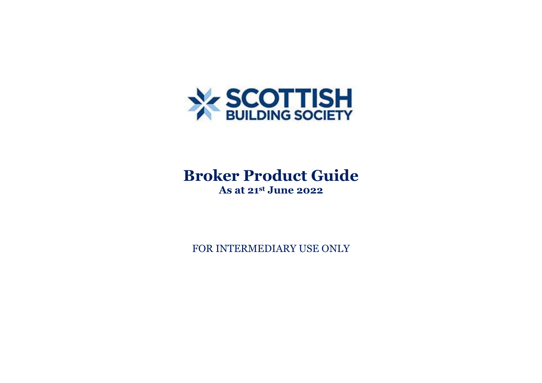

# **Broker Product Guide**

**As at 21st June 2022**

FOR INTERMEDIARY USE ONLY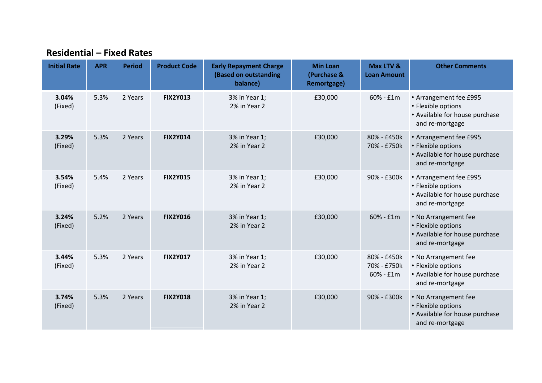#### **Residential – Fixed Rates**

| <b>Initial Rate</b> | <b>APR</b> | <b>Period</b> | <b>Product Code</b> | <b>Early Repayment Charge</b><br>(Based on outstanding<br>balance) | <b>Min Loan</b><br>(Purchase &<br><b>Remortgage)</b> | Max LTV &<br><b>Loan Amount</b>           | <b>Other Comments</b>                                                                             |
|---------------------|------------|---------------|---------------------|--------------------------------------------------------------------|------------------------------------------------------|-------------------------------------------|---------------------------------------------------------------------------------------------------|
| 3.04%<br>(Fixed)    | 5.3%       | 2 Years       | <b>FIX2Y013</b>     | 3% in Year 1;<br>2% in Year 2                                      | £30,000                                              | $60% - £1m$                               | • Arrangement fee £995<br>• Flexible options<br>• Available for house purchase<br>and re-mortgage |
| 3.29%<br>(Fixed)    | 5.3%       | 2 Years       | <b>FIX2Y014</b>     | 3% in Year 1;<br>2% in Year 2                                      | £30,000                                              | 80% - £450k<br>70% - £750k                | • Arrangement fee £995<br>• Flexible options<br>• Available for house purchase<br>and re-mortgage |
| 3.54%<br>(Fixed)    | 5.4%       | 2 Years       | <b>FIX2Y015</b>     | 3% in Year 1;<br>2% in Year 2                                      | £30,000                                              | 90% - £300k                               | • Arrangement fee £995<br>• Flexible options<br>• Available for house purchase<br>and re-mortgage |
| 3.24%<br>(Fixed)    | 5.2%       | 2 Years       | <b>FIX2Y016</b>     | 3% in Year 1;<br>2% in Year 2                                      | £30,000                                              | 60% - £1m                                 | • No Arrangement fee<br>• Flexible options<br>• Available for house purchase<br>and re-mortgage   |
| 3.44%<br>(Fixed)    | 5.3%       | 2 Years       | <b>FIX2Y017</b>     | 3% in Year 1;<br>2% in Year 2                                      | £30,000                                              | 80% - £450k<br>70% - £750k<br>$60% - £1m$ | • No Arrangement fee<br>• Flexible options<br>• Available for house purchase<br>and re-mortgage   |
| 3.74%<br>(Fixed)    | 5.3%       | 2 Years       | <b>FIX2Y018</b>     | 3% in Year 1;<br>2% in Year 2                                      | £30,000                                              | 90% - £300k                               | • No Arrangement fee<br>• Flexible options<br>• Available for house purchase<br>and re-mortgage   |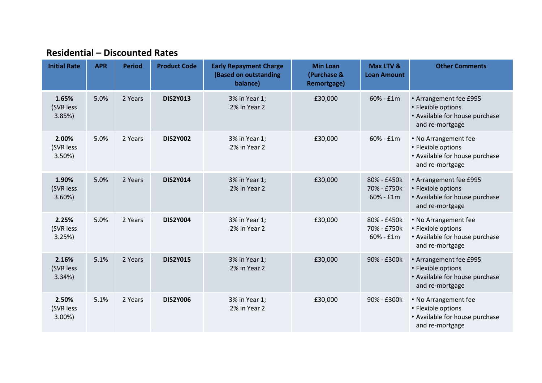## **Residential – Discounted Rates**

| <b>Initial Rate</b>            | <b>APR</b> | <b>Period</b> | <b>Product Code</b> | <b>Early Repayment Charge</b><br>(Based on outstanding<br>balance) | <b>Min Loan</b><br>(Purchase &<br>Remortgage) | Max LTV &<br><b>Loan Amount</b>           | <b>Other Comments</b>                                                                             |
|--------------------------------|------------|---------------|---------------------|--------------------------------------------------------------------|-----------------------------------------------|-------------------------------------------|---------------------------------------------------------------------------------------------------|
| 1.65%<br>(SVR less<br>3.85%    | 5.0%       | 2 Years       | <b>DIS2Y013</b>     | 3% in Year 1;<br>2% in Year 2                                      | £30,000                                       | 60% - £1m                                 | • Arrangement fee £995<br>• Flexible options<br>• Available for house purchase<br>and re-mortgage |
| 2.00%<br>(SVR less<br>3.50%    | 5.0%       | 2 Years       | <b>DIS2Y002</b>     | 3% in Year 1;<br>2% in Year 2                                      | £30,000                                       | $60% - £1m$                               | • No Arrangement fee<br>• Flexible options<br>• Available for house purchase<br>and re-mortgage   |
| 1.90%<br>(SVR less<br>$3.60\%$ | 5.0%       | 2 Years       | <b>DIS2Y014</b>     | 3% in Year 1;<br>2% in Year 2                                      | £30,000                                       | 80% - £450k<br>70% - £750k<br>$60% - f1m$ | • Arrangement fee £995<br>• Flexible options<br>• Available for house purchase<br>and re-mortgage |
| 2.25%<br>(SVR less<br>3.25%    | 5.0%       | 2 Years       | <b>DIS2Y004</b>     | 3% in Year 1;<br>2% in Year 2                                      | £30,000                                       | 80% - £450k<br>70% - £750k<br>$60% - f1m$ | • No Arrangement fee<br>• Flexible options<br>• Available for house purchase<br>and re-mortgage   |
| 2.16%<br>(SVR less<br>3.34%    | 5.1%       | 2 Years       | <b>DIS2Y015</b>     | 3% in Year 1;<br>2% in Year 2                                      | £30,000                                       | 90% - £300k                               | • Arrangement fee £995<br>• Flexible options<br>• Available for house purchase<br>and re-mortgage |
| 2.50%<br>(SVR less<br>3.00%    | 5.1%       | 2 Years       | <b>DIS2Y006</b>     | 3% in Year 1;<br>2% in Year 2                                      | £30,000                                       | 90% - £300k                               | • No Arrangement fee<br>• Flexible options<br>• Available for house purchase<br>and re-mortgage   |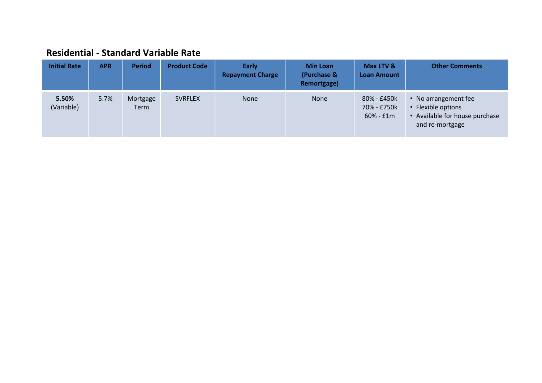## **Residential - Standard Variable Rate**

| <b>Initial Rate</b> | <b>APR</b> | <b>Period</b>    | <b>Product Code</b> | <b>Early</b><br><b>Repayment Charge</b> | <b>Min Loan</b><br>(Purchase &<br>Remortgage) | Max LTV &<br><b>Loan Amount</b>           | <b>Other Comments</b>                                                                           |
|---------------------|------------|------------------|---------------------|-----------------------------------------|-----------------------------------------------|-------------------------------------------|-------------------------------------------------------------------------------------------------|
| 5.50%<br>(Variable) | 5.7%       | Mortgage<br>Term | <b>SVRFLEX</b>      | <b>None</b>                             | <b>None</b>                                   | 80% - £450k<br>70% - £750k<br>$60% - f1m$ | • No arrangement fee<br>• Flexible options<br>• Available for house purchase<br>and re-mortgage |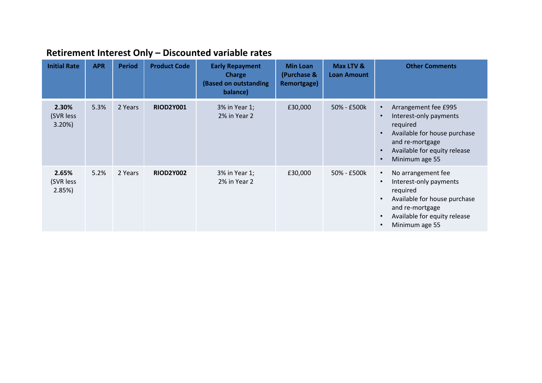| <b>Initial Rate</b>            | <b>APR</b> | <b>Period</b> | <b>Product Code</b> | <b>Early Repayment</b><br><b>Charge</b><br>(Based on outstanding<br>balance) | <b>Min Loan</b><br>(Purchase &<br>Remortgage) | Max LTV &<br><b>Loan Amount</b> | <b>Other Comments</b>                                                                                                                                                                     |
|--------------------------------|------------|---------------|---------------------|------------------------------------------------------------------------------|-----------------------------------------------|---------------------------------|-------------------------------------------------------------------------------------------------------------------------------------------------------------------------------------------|
| 2.30%<br>(SVR less<br>$3.20\%$ | 5.3%       | 2 Years       | <b>RIOD2Y001</b>    | 3% in Year 1;<br>2% in Year 2                                                | £30,000                                       | 50% - £500k                     | Arrangement fee £995<br>Interest-only payments<br>$\bullet$<br>required<br>Available for house purchase<br>and re-mortgage<br>Available for equity release<br>$\bullet$<br>Minimum age 55 |
| 2.65%<br>(SVR less<br>2.85%    | 5.2%       | 2 Years       | <b>RIOD2Y002</b>    | 3% in Year 1;<br>2% in Year 2                                                | £30,000                                       | 50% - £500k                     | No arrangement fee<br>$\bullet$<br>Interest-only payments<br>required<br>Available for house purchase<br>and re-mortgage<br>Available for equity release<br>$\bullet$<br>Minimum age 55   |

# **Retirement Interest Only – Discounted variable rates**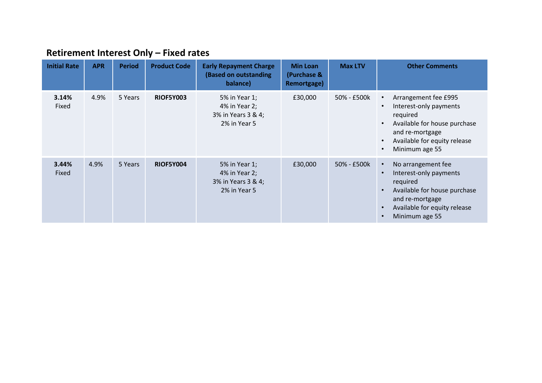| <b>Retirement Interest Only - Fixed rates</b> |  |  |  |  |
|-----------------------------------------------|--|--|--|--|
|-----------------------------------------------|--|--|--|--|

| <b>Initial Rate</b> | <b>APR</b> | <b>Period</b> | <b>Product Code</b> | <b>Early Repayment Charge</b><br>(Based on outstanding<br>balance)   | <b>Min Loan</b><br>(Purchase &<br>Remortgage) | <b>Max LTV</b> | <b>Other Comments</b>                                                                                                                                                      |
|---------------------|------------|---------------|---------------------|----------------------------------------------------------------------|-----------------------------------------------|----------------|----------------------------------------------------------------------------------------------------------------------------------------------------------------------------|
| 3.14%<br>Fixed      | 4.9%       | 5 Years       | <b>RIOF5Y003</b>    | 5% in Year 1;<br>4% in Year 2;<br>3% in Years 3 & 4;<br>2% in Year 5 | £30,000                                       | 50% - £500k    | Arrangement fee £995<br>Interest-only payments<br>required<br>Available for house purchase<br>and re-mortgage<br>Available for equity release<br>Minimum age 55            |
| 3.44%<br>Fixed      | 4.9%       | 5 Years       | <b>RIOF5Y004</b>    | 5% in Year 1;<br>4% in Year 2;<br>3% in Years 3 & 4;<br>2% in Year 5 | £30,000                                       | 50% - £500k    | No arrangement fee<br>$\bullet$<br>Interest-only payments<br>required<br>Available for house purchase<br>and re-mortgage<br>Available for equity release<br>Minimum age 55 |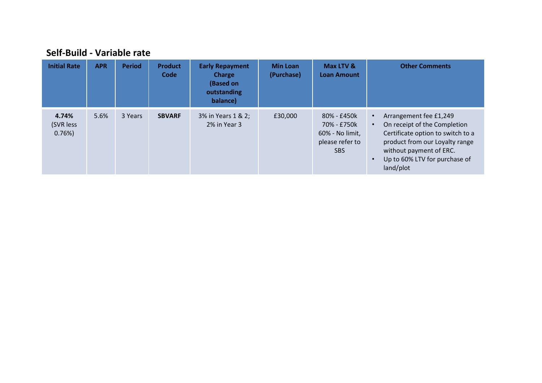| <b>Initial Rate</b>         | <b>APR</b> | <b>Period</b> | <b>Product</b><br>Code | <b>Early Repayment</b><br><b>Charge</b><br>(Based on<br>outstanding<br>balance) | <b>Min Loan</b><br>(Purchase) | Max LTV &<br><b>Loan Amount</b>                                                | <b>Other Comments</b>                                                                                                                                                                                               |
|-----------------------------|------------|---------------|------------------------|---------------------------------------------------------------------------------|-------------------------------|--------------------------------------------------------------------------------|---------------------------------------------------------------------------------------------------------------------------------------------------------------------------------------------------------------------|
| 4.74%<br>(SVR less<br>0.76% | 5.6%       | 3 Years       | <b>SBVARF</b>          | 3% in Years 1 & 2;<br>2% in Year 3                                              | £30,000                       | 80% - £450k<br>70% - £750k<br>60% - No limit,<br>please refer to<br><b>SBS</b> | Arrangement fee £1,249<br>On receipt of the Completion<br>$\bullet$<br>Certificate option to switch to a<br>product from our Loyalty range<br>without payment of ERC.<br>Up to 60% LTV for purchase of<br>land/plot |

### **Self-Build - Variable rate**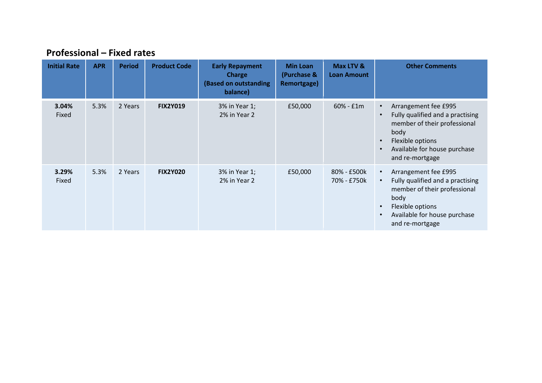| <b>Initial Rate</b> | <b>APR</b> | <b>Period</b> | <b>Product Code</b> | <b>Early Repayment</b><br><b>Charge</b><br>(Based on outstanding<br>balance) | <b>Min Loan</b><br>(Purchase &<br>Remortgage) | Max LTV &<br><b>Loan Amount</b> | <b>Other Comments</b>                                                                                                                                                                |
|---------------------|------------|---------------|---------------------|------------------------------------------------------------------------------|-----------------------------------------------|---------------------------------|--------------------------------------------------------------------------------------------------------------------------------------------------------------------------------------|
| 3.04%<br>Fixed      | 5.3%       | 2 Years       | <b>FIX2Y019</b>     | 3% in Year 1;<br>2% in Year 2                                                | £50,000                                       | $60% - f1m$                     | Arrangement fee £995<br>Fully qualified and a practising<br>member of their professional<br>body<br>Flexible options<br>Available for house purchase<br>and re-mortgage              |
| 3.29%<br>Fixed      | 5.3%       | 2 Years       | <b>FIX2Y020</b>     | 3% in Year 1;<br>2% in Year 2                                                | £50,000                                       | 80% - £500k<br>70% - £750k      | Arrangement fee £995<br>Fully qualified and a practising<br>member of their professional<br>body<br>Flexible options<br>$\bullet$<br>Available for house purchase<br>and re-mortgage |

## **Professional – Fixed rates**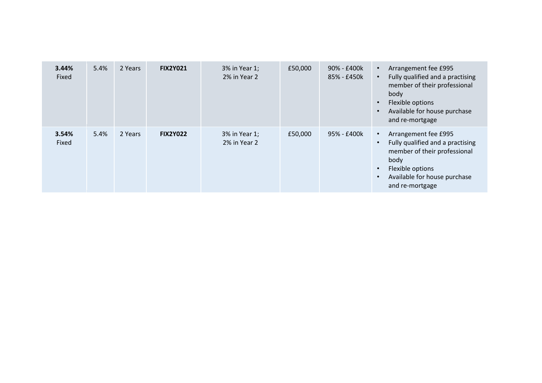| 3.44%<br>Fixed | 5.4% | 2 Years | <b>FIX2Y021</b> | 3% in Year 1;<br>2% in Year 2 | £50,000 | 90% - £400k<br>85% - £450k | Arrangement fee £995<br>Fully qualified and a practising<br>member of their professional<br>body<br>Flexible options<br>Available for house purchase<br>and re-mortgage |
|----------------|------|---------|-----------------|-------------------------------|---------|----------------------------|-------------------------------------------------------------------------------------------------------------------------------------------------------------------------|
| 3.54%<br>Fixed | 5.4% | 2 Years | <b>FIX2Y022</b> | 3% in Year 1;<br>2% in Year 2 | £50,000 | 95% - £400k                | Arrangement fee £995<br>Fully qualified and a practising<br>member of their professional<br>body<br>Flexible options<br>Available for house purchase<br>and re-mortgage |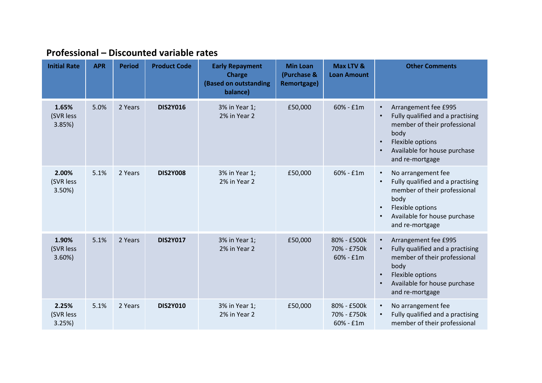| <b>Initial Rate</b>         | <b>APR</b> | <b>Period</b> | <b>Product Code</b> | <b>Early Repayment</b><br><b>Charge</b><br>(Based on outstanding<br>balance) | <b>Min Loan</b><br>(Purchase &<br>Remortgage) | Max LTV &<br><b>Loan Amount</b>           | <b>Other Comments</b>                                                                                                                                                              |
|-----------------------------|------------|---------------|---------------------|------------------------------------------------------------------------------|-----------------------------------------------|-------------------------------------------|------------------------------------------------------------------------------------------------------------------------------------------------------------------------------------|
| 1.65%<br>(SVR less<br>3.85% | 5.0%       | 2 Years       | <b>DIS2Y016</b>     | 3% in Year 1;<br>2% in Year 2                                                | £50,000                                       | 60% - £1m                                 | Arrangement fee £995<br>Fully qualified and a practising<br>member of their professional<br>body<br>Flexible options<br>Available for house purchase<br>and re-mortgage            |
| 2.00%<br>(SVR less<br>3.50% | 5.1%       | 2 Years       | <b>DIS2Y008</b>     | 3% in Year 1;<br>2% in Year 2                                                | £50,000                                       | $60% - f1m$                               | No arrangement fee<br>$\bullet$<br>Fully qualified and a practising<br>member of their professional<br>body<br>Flexible options<br>Available for house purchase<br>and re-mortgage |
| 1.90%<br>(SVR less<br>3.60% | 5.1%       | 2 Years       | <b>DIS2Y017</b>     | 3% in Year 1;<br>2% in Year 2                                                | £50,000                                       | 80% - £500k<br>70% - £750k<br>$60% - f1m$ | Arrangement fee £995<br>Fully qualified and a practising<br>member of their professional<br>body<br>Flexible options<br>Available for house purchase<br>and re-mortgage            |
| 2.25%<br>(SVR less<br>3.25% | 5.1%       | 2 Years       | <b>DIS2Y010</b>     | 3% in Year 1;<br>2% in Year 2                                                | £50,000                                       | 80% - £500k<br>70% - £750k<br>60% - £1m   | No arrangement fee<br>Fully qualified and a practising<br>member of their professional                                                                                             |

# **Professional – Discounted variable rates**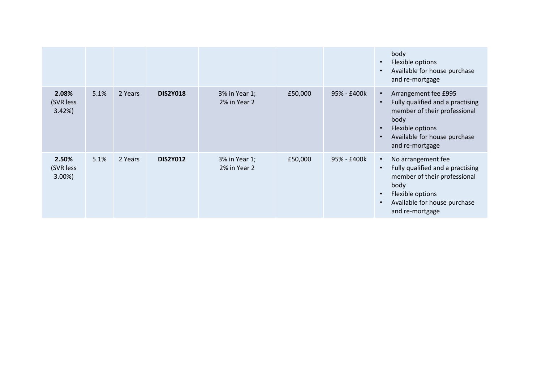|                                |      |         |                 |                               |         |             | body<br>Flexible options<br>$\bullet$<br>Available for house purchase<br>and re-mortgage                                                                                                          |
|--------------------------------|------|---------|-----------------|-------------------------------|---------|-------------|---------------------------------------------------------------------------------------------------------------------------------------------------------------------------------------------------|
| 2.08%<br>(SVR less<br>3.42%    | 5.1% | 2 Years | <b>DIS2Y018</b> | 3% in Year 1;<br>2% in Year 2 | £50,000 | 95% - £400k | Arrangement fee £995<br>$\bullet$<br>Fully qualified and a practising<br>$\bullet$<br>member of their professional<br>body<br>Flexible options<br>Available for house purchase<br>and re-mortgage |
| 2.50%<br>(SVR less<br>$3.00\%$ | 5.1% | 2 Years | <b>DIS2Y012</b> | 3% in Year 1;<br>2% in Year 2 | £50,000 | 95% - £400k | No arrangement fee<br>$\bullet$<br>Fully qualified and a practising<br>member of their professional<br>body<br>Flexible options<br>Available for house purchase<br>and re-mortgage                |